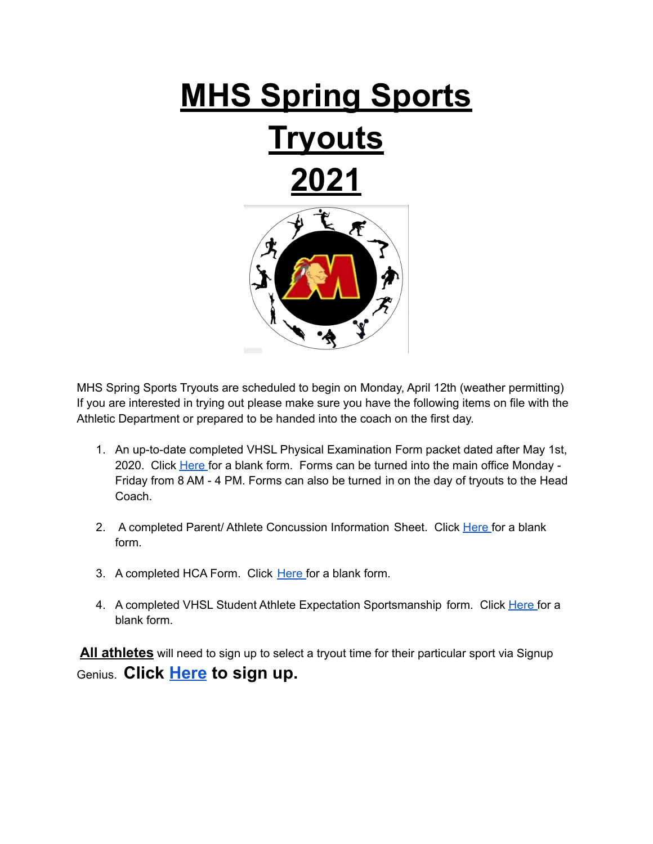

MHS Spring Sports Tryouts are scheduled to begin on Monday, April 12th (weather permitting) If you are interested in trying out please make sure you have the following items on file with the Athletic Department or prepared to be handed into the coach on the first day.

- 1. An up-to-date completed VHSL Physical Examination Form packet dated after May 1st, 2020. Click [Here](https://drive.google.com/file/d/0B7RibASZWZy8RU84Z1ZfZDZGT1U/view?usp=sharing) for a blank form. Forms can be turned into the main office Monday -Friday from 8 AM - 4 PM. Forms can also be turned in on the day of tryouts to the Head Coach.
- 2. A completed Parent/ Athlete Concussion Information Sheet. Click [Here](https://drive.google.com/file/d/0B7RibASZWZy8bnZoU2h4emFHUFk/view?usp=sharing) for a blank form.
- 3. A completed HCA Form. Click [Here](https://drive.google.com/file/d/0B7RibASZWZy8bnZoU2h4emFHUFk/view?usp=sharing) for a blank form.
- 4. A completed VHSL Student Athlete Expectation Sportsmanship form. Click [Here](https://drive.google.com/file/d/0B7RibASZWZy8bnZoU2h4emFHUFk/view?usp=sharing) for a blank form.

**All athletes** will need to sign up to select a tryout time for their particular sport via Signup Genius. **Click [Here](https://www.signupgenius.com/go/508044DA5AC2AA75-spring1) to sign up.**